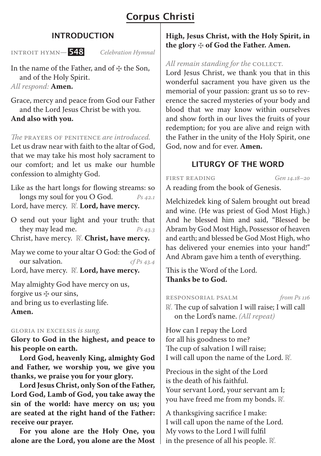# Corpus Christi

## INTRODUCTION

Introit Hymn*—* 548 *Celebration Hymnal*

In the name of the Father, and of  $\ddagger$  the Son, and of the Holy Spirit. *All respond:* **Amen.**

Grace, mercy and peace from God our Father and the Lord Jesus Christ be with you. **And also with you.**

#### *The* Prayers of Penitence *are introduced.*

Let us draw near with faith to the altar of God, that we may take his most holy sacrament to our comfort; and let us make our humble confession to almighty God.

Like as the hart longs for flowing streams: so longs my soul for you O God. *Ps 42.1*

Lord, have mercy. R. Lord, have mercy.

O send out your light and your truth: that they may lead me. *Ps 43.3*

Christ, have mercy. **R.** Christ, have mercy.

May we come to your altar O God: the God of our salvation. *cf Ps 43.4* Lord, have mercy. **R.** Lord, have mercy.

May almighty God have mercy on us, forgive us  $\&$  our sins, and bring us to everlasting life. **Amen.**

#### Gloria in Excelsis *is sung.*

**Glory to God in the highest, and peace to his people on earth.** 

**Lord God, heavenly King, almighty God and Father, we worship you, we give you thanks, we praise you for your glory.** 

**Lord Jesus Christ, only Son of the Father, Lord God, Lamb of God, you take away the sin of the world: have mercy on us; you are seated at the right hand of the Father: receive our prayer.** 

**For you alone are the Holy One, you alone are the Lord, you alone are the Most**  **High, Jesus Christ, with the Holy Spirit, in the glory** ✠ **of God the Father. Amen.**

#### *All remain standing for the COLLECT.*

Lord Jesus Christ, we thank you that in this wonderful sacrament you have given us the memorial of your passion: grant us so to reverence the sacred mysteries of your body and blood that we may know within ourselves and show forth in our lives the fruits of your redemption; for you are alive and reign with the Father in the unity of the Holy Spirit, one God, now and for ever. **Amen.**

## LITURGY OF THE WORD

First Reading *Gen 14.18–20* A reading from the book of Genesis.

Melchizedek king of Salem brought out bread and wine. (He was priest of God Most High.) And he blessed him and said, "Blessed be Abram by God Most High, Possessor of heaven and earth; and blessed be God Most High, who has delivered your enemies into your hand!" And Abram gave him a tenth of everything.

This is the Word of the Lord. **Thanks be to God.**

Responsorial PSALM *from Ps 116*  $\mathbb R$ . The cup of salvation I will raise; I will call on the Lord's name. *(All repeat)*

How can I repay the Lord for all his goodness to me? The cup of salvation I will raise; I will call upon the name of the Lord. R.

Precious in the sight of the Lord is the death of his faithful. Your servant Lord, your servant am I; you have freed me from my bonds. R.

A thanksgiving sacrifice I make: I will call upon the name of the Lord. My vows to the Lord I will fulfil in the presence of all his people.  $\mathbb{R}$ .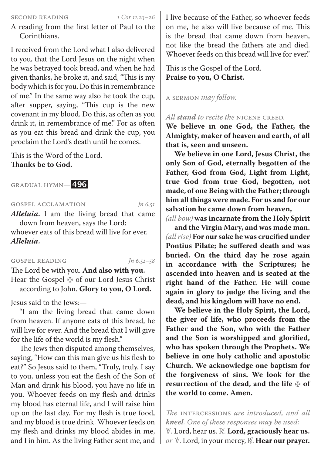#### Second Reading *1 Cor 11.23–26*

A reading from the first letter of Paul to the Corinthians.

I received from the Lord what I also delivered to you, that the Lord Jesus on the night when he was betrayed took bread, and when he had given thanks, he broke it, and said, "This is my body which is for you. Do this in remembrance of me." In the same way also he took the cup, after supper, saying, "This cup is the new covenant in my blood. Do this, as often as you drink it, in remembrance of me." For as often as you eat this bread and drink the cup, you proclaim the Lord's death until he comes.

This is the Word of the Lord. **Thanks be to God.**

Gradual Hymn*—* 496

Gospel AcclAMATION *Jn 6.51*

*Alleluia.* I am the living bread that came down from heaven, says the Lord: whoever eats of this bread will live for ever. *Alleluia.*

Gospel Reading *Jn 6.51–58*

The Lord be with you. **And also with you.** Hear the Gospel ⊕ of our Lord Jesus Christ according to John. **Glory to you, O Lord.**

Jesus said to the Jews:—

"I am the living bread that came down from heaven. If anyone eats of this bread, he will live for ever. And the bread that I will give for the life of the world is my flesh."

The Jews then disputed among themselves, saying, "How can this man give us his flesh to eat?" So Jesus said to them, "Truly, truly, I say to you, unless you eat the flesh of the Son of Man and drink his blood, you have no life in you. Whoever feeds on my flesh and drinks my blood has eternal life, and I will raise him up on the last day. For my flesh is true food, and my blood is true drink. Whoever feeds on my flesh and drinks my blood abides in me, and I in him. As the living Father sent me, and I live because of the Father, so whoever feeds on me, he also will live because of me. This is the bread that came down from heaven, not like the bread the fathers ate and died. Whoever feeds on this bread will live for ever"

This is the Gospel of the Lord. **Praise to you, O Christ.**

A Sermon *may follow.*

#### *All stand to recite the* Nicene Creed*.*

**We believe in one God, the Father, the Almighty, maker of heaven and earth, of all that is, seen and unseen.** 

**We believe in one Lord, Jesus Christ, the only Son of God, eternally begotten of the Father, God from God, Light from Light, true God from true God, begotten, not made, of one Being with the Father; through him all things were made. For us and for our salvation he came down from heaven,** 

*(all bow)* **was incarnate from the Holy Spirit** 

**and the Virgin Mary, and was made man.**  *(all rise)* **For our sake he was crucified under Pontius Pilate; he suffered death and was buried. On the third day he rose again in accordance with the Scriptures; he ascended into heaven and is seated at the right hand of the Father. He will come again in glory to judge the living and the dead, and his kingdom will have no end.** 

**We believe in the Holy Spirit, the Lord, the giver of life, who proceeds from the Father and the Son, who with the Father and the Son is worshipped and glorified, who has spoken through the Prophets. We believe in one holy catholic and apostolic Church. We acknowledge one baptism for the forgiveness of sins. We look for the resurrection of the dead, and the life** ✠ **of the world to come. Amen.**

*The* Intercessions *are introduced, and all kneel. One of these responses may be used:* ℣. Lord, hear us. ℟. **Lord, graciously hear us.** *or* ℣. Lord, in your mercy, ℟. **Hear our prayer.**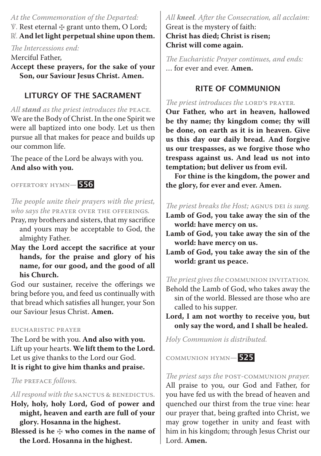## *At the Commemoration of the Departed:* ℣. Rest eternal ✠ grant unto them, O Lord;  $\mathbb{R}$ . And let light perpetual shine upon them.

*The Intercessions end:*

Merciful Father,

**Accept these prayers, for the sake of your Son, our Saviour Jesus Christ. Amen.**

## LITURGY OF THE SACRAMENT

*All stand as the priest introduces the* Peace*.*  We are the Body of Christ. In the one Spirit we were all baptized into one body. Let us then pursue all that makes for peace and builds up our common life.

The peace of the Lord be always with you. **And also with you.**

Offertory Hymn*—* 556

## *The people unite their prayers with the priest, who says the* Prayer over the Offerings*.*

- Pray, my brothers and sisters, that my sacrifice and yours may be acceptable to God, the almighty Father.
- **May the Lord accept the sacrifice at your hands, for the praise and glory of his name, for our good, and the good of all his Church.**

God our sustainer, receive the offerings we bring before you, and feed us continually with that bread which satisfies all hunger, your Son our Saviour Jesus Christ. **Amen.**

#### Eucharistic Prayer

The Lord be with you. **And also with you.** Lift up your hearts. **We lift them to the Lord.** Let us give thanks to the Lord our God. **It is right to give him thanks and praise.**

*The* Preface *follows.* 

### All respond with the SANCTUS & BENEDICTUS.

- **Holy, holy, holy Lord, God of power and might, heaven and earth are full of your glory. Hosanna in the highest.**
- **Blessed is he** ✠ **who comes in the name of the Lord. Hosanna in the highest.**

## *All kneel. After the Consecration, all acclaim:* Great is the mystery of faith:

**Christ has died; Christ is risen; Christ will come again.**

*The Eucharistic Prayer continues, and ends:* … for ever and ever. **Amen.**

## RITE OF COMMUNION

## *The priest introduces the LORD'S PRAYER.*

**Our Father, who art in heaven, hallowed be thy name; thy kingdom come; thy will be done, on earth as it is in heaven. Give us this day our daily bread. And forgive us our trespasses, as we forgive those who trespass against us. And lead us not into temptation; but deliver us from evil.** 

**For thine is the kingdom, the power and the glory, for ever and ever. Amen.**

## *The priest breaks the Host;* Agnus Dei *is sung.*

- **Lamb of God, you take away the sin of the world: have mercy on us.**
- **Lamb of God, you take away the sin of the world: have mercy on us.**
- **Lamb of God, you take away the sin of the world: grant us peace.**

*The priest gives the* Communion Invitation*.*

- Behold the Lamb of God, who takes away the sin of the world. Blessed are those who are called to his supper.
- **Lord, I am not worthy to receive you, but only say the word, and I shall be healed.**

*Holy Communion is distributed.*

Communion Hymn*—* 525



*The priest says the* Post-Communion *prayer.* All praise to you, our God and Father, for you have fed us with the bread of heaven and quenched our thirst from the true vine: hear our prayer that, being grafted into Christ, we may grow together in unity and feast with him in his kingdom; through Jesus Christ our Lord. **Amen.**